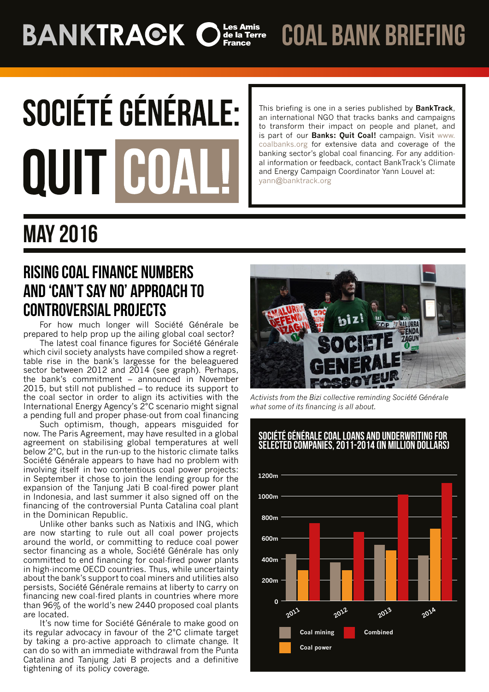# **BANKTRACK Of SAMIS**

coal bank briefing

# **SOCIÉTÉ GÉNÉRALE:** QUIT CO

This briefing is one in a series published by **BankTrack**, an international NGO that tracks banks and campaigns to transform their impact on people and planet, and is part of our **Banks: Quit Coal!** campaign. Visit [www.](http://www.coalbanks.org/) [coalbanks.org](http://www.coalbanks.org/) for extensive data and coverage of the banking sector's global coal financing. For any additional information or feedback, contact BankTrack's Climate and Energy Campaign Coordinator Yann Louvel at: yann@banktrack.org

## May 2016

## **RISING COAL FINANCE NUMBERS** AND 'CAN'T SAY NO' APPROACH TO CONTROVERSIAL PROJECTS

For how much longer will Société Générale be prepared to help prop up the ailing global coal sector?

The latest coal finance figures for Société Générale which civil society analysts have compiled show a regrettable rise in the bank's largesse for the beleaguered sector between 2012 and 2014 (see graph). Perhaps, the bank's commitment – announced in November 2015, but still not published – to reduce its support to the coal sector in order to align its activities with the International Energy Agency's 2°C scenario might signal a pending full and proper phase-out from coal financing

Such optimism, though, appears misguided for now. The Paris Agreement, may have resulted in a global agreement on stabilising global temperatures at well below 2°C, but in the run-up to the historic climate talks Société Générale appears to have had no problem with involving itself in two contentious coal power projects: in September it chose to join the lending group for the expansion of the Tanjung Jati B coal-fired power plant in Indonesia, and last summer it also signed off on the financing of the controversial Punta Catalina coal plant in the Dominican Republic.

Unlike other banks such as Natixis and ING, which are now starting to rule out all coal power projects around the world, or committing to reduce coal power sector financing as a whole, Société Générale has only committed to end financing for coal-fired power plants in high-income OECD countries. Thus, while uncertainty about the bank's support to coal miners and utilities also persists, Société Générale remains at liberty to carry on financing new coal-fired plants in countries where more than 96% of the world's new 2440 proposed coal plants are located.

It's now time for Société Générale to make good on its regular advocacy in favour of the 2°C climate target by taking a pro-active approach to climate change. It can do so with an immediate withdrawal from the Punta Catalina and Tanjung Jati B projects and a definitive tightening of its policy coverage.



*Activists from the Bizi collective reminding Société Générale what some of its financing is all about.*

#### Société Générale coal loans and underwriting for selected companies, 2011-2014 (in million dollars)